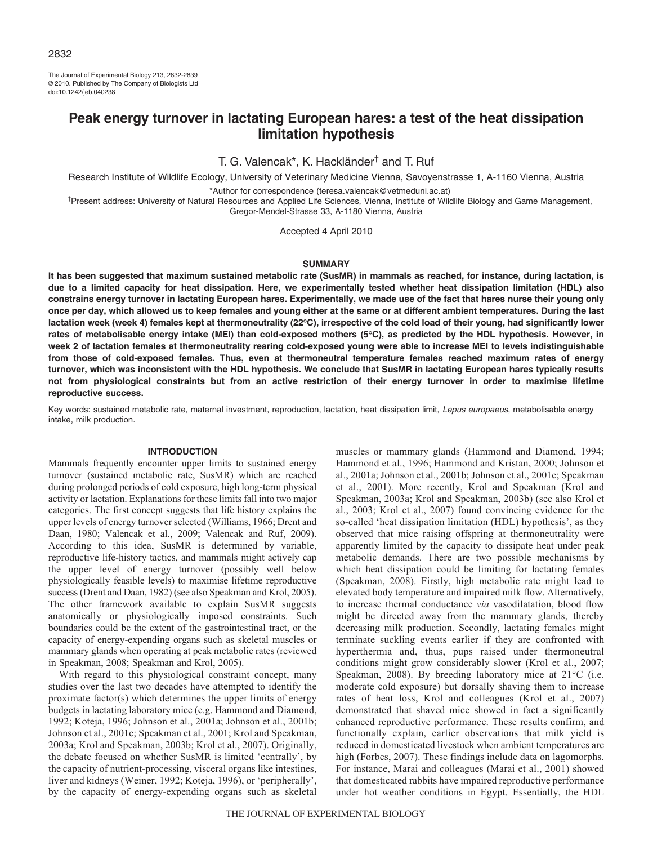The Journal of Experimental Biology 213, 2832-2839 © 2010. Published by The Company of Biologists Ltd doi:10.1242/jeb.040238

# **Peak energy turnover in lactating European hares: a test of the heat dissipation limitation hypothesis**

T. G. Valencak\*, K. Hackländer† and T. Ruf

Research Institute of Wildlife Ecology, University of Veterinary Medicine Vienna, Savoyenstrasse 1, A-1160 Vienna, Austria

\*Author for correspondence (teresa.valencak@vetmeduni.ac.at)

†Present address: University of Natural Resources and Applied Life Sciences, Vienna, Institute of Wildlife Biology and Game Management, Gregor-Mendel-Strasse 33, A-1180 Vienna, Austria

Accepted 4 April 2010

## **SUMMARY**

**It has been suggested that maximum sustained metabolic rate (SusMR) in mammals as reached, for instance, during lactation, is due to a limited capacity for heat dissipation. Here, we experimentally tested whether heat dissipation limitation (HDL) also constrains energy turnover in lactating European hares. Experimentally, we made use of the fact that hares nurse their young only once per day, which allowed us to keep females and young either at the same or at different ambient temperatures. During the last lactation week (week 4) females kept at thermoneutrality (22°C), irrespective of the cold load of their young, had significantly lower rates of metabolisable energy intake (MEI) than cold-exposed mothers (5°C), as predicted by the HDL hypothesis. However, in week 2 of lactation females at thermoneutrality rearing cold-exposed young were able to increase MEI to levels indistinguishable from those of cold-exposed females. Thus, even at thermoneutral temperature females reached maximum rates of energy turnover, which was inconsistent with the HDL hypothesis. We conclude that SusMR in lactating European hares typically results not from physiological constraints but from an active restriction of their energy turnover in order to maximise lifetime reproductive success.**

Key words: sustained metabolic rate, maternal investment, reproduction, lactation, heat dissipation limit, Lepus europaeus, metabolisable energy intake, milk production.

## **INTRODUCTION**

Mammals frequently encounter upper limits to sustained energy turnover (sustained metabolic rate, SusMR) which are reached during prolonged periods of cold exposure, high long-term physical activity or lactation. Explanations for these limits fall into two major categories. The first concept suggests that life history explains the upper levels of energy turnover selected (Williams, 1966; Drent and Daan, 1980; Valencak et al., 2009; Valencak and Ruf, 2009). According to this idea, SusMR is determined by variable, reproductive life-history tactics, and mammals might actively cap the upper level of energy turnover (possibly well below physiologically feasible levels) to maximise lifetime reproductive success (Drent and Daan, 1982) (see also Speakman and Krol, 2005). The other framework available to explain SusMR suggests anatomically or physiologically imposed constraints. Such boundaries could be the extent of the gastrointestinal tract, or the capacity of energy-expending organs such as skeletal muscles or mammary glands when operating at peak metabolic rates (reviewed in Speakman, 2008; Speakman and Krol, 2005).

With regard to this physiological constraint concept, many studies over the last two decades have attempted to identify the proximate factor(s) which determines the upper limits of energy budgets in lactating laboratory mice (e.g. Hammond and Diamond, 1992; Koteja, 1996; Johnson et al., 2001a; Johnson et al., 2001b; Johnson et al., 2001c; Speakman et al., 2001; Krol and Speakman, 2003a; Krol and Speakman, 2003b; Krol et al., 2007). Originally, the debate focused on whether SusMR is limited 'centrally', by the capacity of nutrient-processing, visceral organs like intestines, liver and kidneys (Weiner, 1992; Koteja, 1996), or 'peripherally', by the capacity of energy-expending organs such as skeletal

muscles or mammary glands (Hammond and Diamond, 1994; Hammond et al., 1996; Hammond and Kristan, 2000; Johnson et al., 2001a; Johnson et al., 2001b; Johnson et al., 2001c; Speakman et al., 2001). More recently, Krol and Speakman (Krol and Speakman, 2003a; Krol and Speakman, 2003b) (see also Krol et al., 2003; Krol et al., 2007) found convincing evidence for the so-called 'heat dissipation limitation (HDL) hypothesis', as they observed that mice raising offspring at thermoneutrality were apparently limited by the capacity to dissipate heat under peak metabolic demands. There are two possible mechanisms by which heat dissipation could be limiting for lactating females (Speakman, 2008). Firstly, high metabolic rate might lead to elevated body temperature and impaired milk flow. Alternatively, to increase thermal conductance *via* vasodilatation, blood flow might be directed away from the mammary glands, thereby decreasing milk production. Secondly, lactating females might terminate suckling events earlier if they are confronted with hyperthermia and, thus, pups raised under thermoneutral conditions might grow considerably slower (Krol et al., 2007; Speakman, 2008). By breeding laboratory mice at 21°C (i.e. moderate cold exposure) but dorsally shaving them to increase rates of heat loss, Krol and colleagues (Krol et al., 2007) demonstrated that shaved mice showed in fact a significantly enhanced reproductive performance. These results confirm, and functionally explain, earlier observations that milk yield is reduced in domesticated livestock when ambient temperatures are high (Forbes, 2007). These findings include data on lagomorphs. For instance, Marai and colleagues (Marai et al., 2001) showed that domesticated rabbits have impaired reproductive performance under hot weather conditions in Egypt. Essentially, the HDL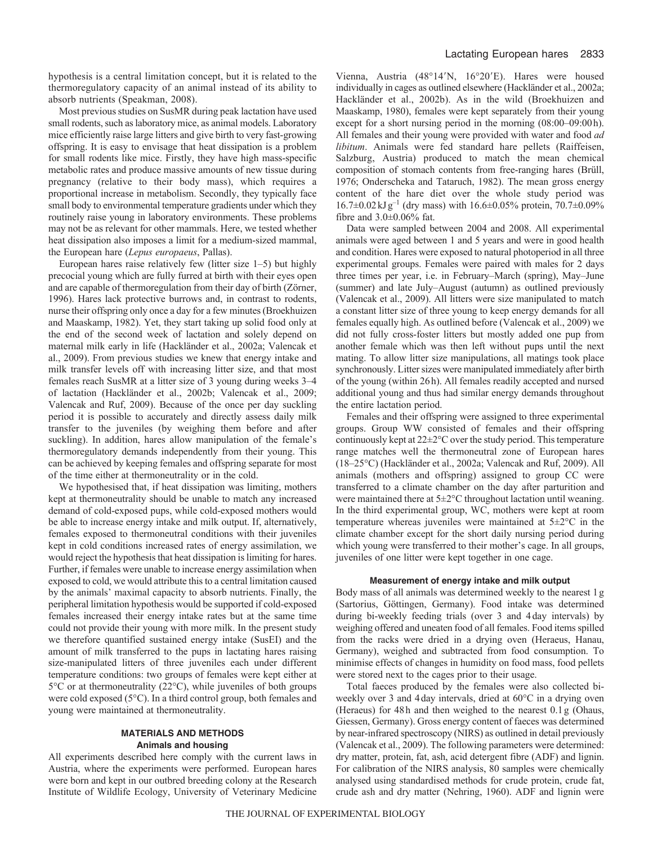hypothesis is a central limitation concept, but it is related to the thermoregulatory capacity of an animal instead of its ability to absorb nutrients (Speakman, 2008).

Most previous studies on SusMR during peak lactation have used small rodents, such as laboratory mice, as animal models. Laboratory mice efficiently raise large litters and give birth to very fast-growing offspring. It is easy to envisage that heat dissipation is a problem for small rodents like mice. Firstly, they have high mass-specific metabolic rates and produce massive amounts of new tissue during pregnancy (relative to their body mass), which requires a proportional increase in metabolism. Secondly, they typically face small body to environmental temperature gradients under which they routinely raise young in laboratory environments. These problems may not be as relevant for other mammals. Here, we tested whether heat dissipation also imposes a limit for a medium-sized mammal, the European hare (*Lepus europaeus*, Pallas).

European hares raise relatively few (litter size 1–5) but highly precocial young which are fully furred at birth with their eyes open and are capable of thermoregulation from their day of birth (Zörner, 1996). Hares lack protective burrows and, in contrast to rodents, nurse their offspring only once a day for a few minutes (Broekhuizen and Maaskamp, 1982). Yet, they start taking up solid food only at the end of the second week of lactation and solely depend on maternal milk early in life (Hackländer et al., 2002a; Valencak et al., 2009). From previous studies we knew that energy intake and milk transfer levels off with increasing litter size, and that most females reach SusMR at a litter size of 3 young during weeks 3–4 of lactation (Hackländer et al., 2002b; Valencak et al., 2009; Valencak and Ruf, 2009). Because of the once per day suckling period it is possible to accurately and directly assess daily milk transfer to the juveniles (by weighing them before and after suckling). In addition, hares allow manipulation of the female's thermoregulatory demands independently from their young. This can be achieved by keeping females and offspring separate for most of the time either at thermoneutrality or in the cold.

We hypothesised that, if heat dissipation was limiting, mothers kept at thermoneutrality should be unable to match any increased demand of cold-exposed pups, while cold-exposed mothers would be able to increase energy intake and milk output. If, alternatively, females exposed to thermoneutral conditions with their juveniles kept in cold conditions increased rates of energy assimilation, we would reject the hypothesis that heat dissipation is limiting for hares. Further, if females were unable to increase energy assimilation when exposed to cold, we would attribute this to a central limitation caused by the animals' maximal capacity to absorb nutrients. Finally, the peripheral limitation hypothesis would be supported if cold-exposed females increased their energy intake rates but at the same time could not provide their young with more milk. In the present study we therefore quantified sustained energy intake (SusEI) and the amount of milk transferred to the pups in lactating hares raising size-manipulated litters of three juveniles each under different temperature conditions: two groups of females were kept either at 5°C or at thermoneutrality (22°C), while juveniles of both groups were cold exposed (5°C). In a third control group, both females and young were maintained at thermoneutrality.

## **MATERIALS AND METHODS Animals and housing**

All experiments described here comply with the current laws in Austria, where the experiments were performed. European hares were born and kept in our outbred breeding colony at the Research Institute of Wildlife Ecology, University of Veterinary Medicine

Vienna, Austria (48°14'N, 16°20'E). Hares were housed individually in cages as outlined elsewhere (Hackländer et al., 2002a; Hackländer et al., 2002b). As in the wild (Broekhuizen and Maaskamp, 1980), females were kept separately from their young except for a short nursing period in the morning (08:00–09:00h). All females and their young were provided with water and food *ad libitum*. Animals were fed standard hare pellets (Raiffeisen, Salzburg, Austria) produced to match the mean chemical composition of stomach contents from free-ranging hares (Brüll, 1976; Onderscheka and Tataruch, 1982). The mean gross energy content of the hare diet over the whole study period was  $16.7\pm0.02 \text{ kJ g}^{-1}$  (dry mass) with  $16.6\pm0.05\%$  protein,  $70.7\pm0.09\%$ fibre and  $3.0\pm0.06\%$  fat.

Data were sampled between 2004 and 2008. All experimental animals were aged between 1 and 5 years and were in good health and condition. Hares were exposed to natural photoperiod in all three experimental groups. Females were paired with males for 2 days three times per year, i.e. in February–March (spring), May–June (summer) and late July–August (autumn) as outlined previously (Valencak et al., 2009). All litters were size manipulated to match a constant litter size of three young to keep energy demands for all females equally high. As outlined before (Valencak et al., 2009) we did not fully cross-foster litters but mostly added one pup from another female which was then left without pups until the next mating. To allow litter size manipulations, all matings took place synchronously. Litter sizes were manipulated immediately after birth of the young (within 26h). All females readily accepted and nursed additional young and thus had similar energy demands throughout the entire lactation period.

Females and their offspring were assigned to three experimental groups. Group WW consisted of females and their offspring continuously kept at 22±2°C over the study period. This temperature range matches well the thermoneutral zone of European hares (18–25°C) (Hackländer et al., 2002a; Valencak and Ruf, 2009). All animals (mothers and offspring) assigned to group CC were transferred to a climate chamber on the day after parturition and were maintained there at 5±2°C throughout lactation until weaning. In the third experimental group, WC, mothers were kept at room temperature whereas juveniles were maintained at 5±2°C in the climate chamber except for the short daily nursing period during which young were transferred to their mother's cage. In all groups, juveniles of one litter were kept together in one cage.

## **Measurement of energy intake and milk output**

Body mass of all animals was determined weekly to the nearest 1g (Sartorius, Göttingen, Germany). Food intake was determined during bi-weekly feeding trials (over 3 and 4day intervals) by weighing offered and uneaten food of all females. Food items spilled from the racks were dried in a drying oven (Heraeus, Hanau, Germany), weighed and subtracted from food consumption. To minimise effects of changes in humidity on food mass, food pellets were stored next to the cages prior to their usage.

Total faeces produced by the females were also collected biweekly over 3 and 4day intervals, dried at 60°C in a drying oven (Heraeus) for 48h and then weighed to the nearest 0.1g (Ohaus, Giessen, Germany). Gross energy content of faeces was determined by near-infrared spectroscopy (NIRS) as outlined in detail previously (Valencak et al., 2009). The following parameters were determined: dry matter, protein, fat, ash, acid detergent fibre (ADF) and lignin. For calibration of the NIRS analysis, 80 samples were chemically analysed using standardised methods for crude protein, crude fat, crude ash and dry matter (Nehring, 1960). ADF and lignin were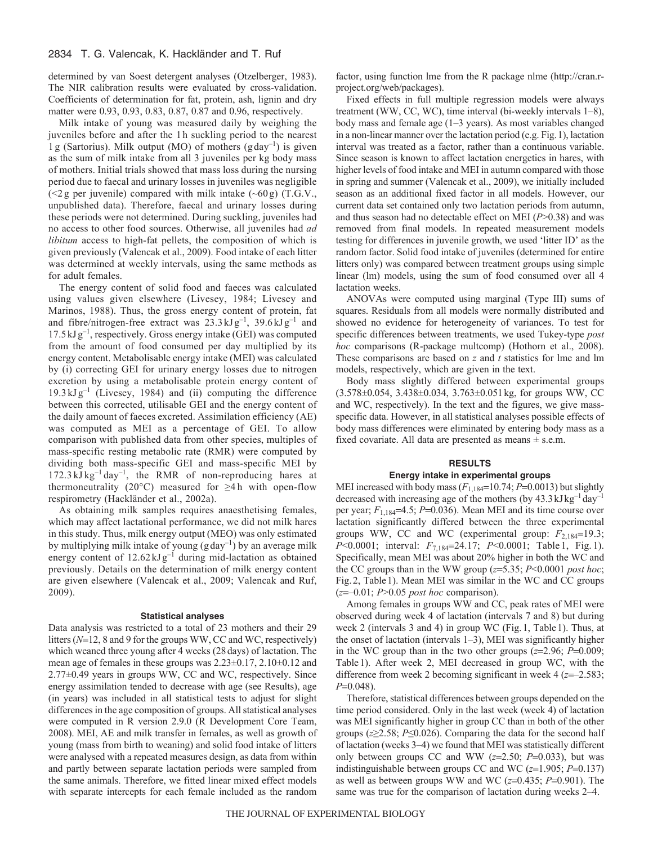determined by van Soest detergent analyses (Otzelberger, 1983). The NIR calibration results were evaluated by cross-validation. Coefficients of determination for fat, protein, ash, lignin and dry matter were 0.93, 0.93, 0.83, 0.87, 0.87 and 0.96, respectively.

Milk intake of young was measured daily by weighing the juveniles before and after the 1 h suckling period to the nearest 1 g (Sartorius). Milk output (MO) of mothers ( $\text{g day}^{-1}$ ) is given as the sum of milk intake from all 3 juveniles per kg body mass of mothers. Initial trials showed that mass loss during the nursing period due to faecal and urinary losses in juveniles was negligible ( $\leq$ 2 g per juvenile) compared with milk intake ( $\sim$ 60 g) (T.G.V., unpublished data). Therefore, faecal and urinary losses during these periods were not determined. During suckling, juveniles had no access to other food sources. Otherwise, all juveniles had *ad libitum* access to high-fat pellets, the composition of which is given previously (Valencak et al., 2009). Food intake of each litter was determined at weekly intervals, using the same methods as for adult females.

The energy content of solid food and faeces was calculated using values given elsewhere (Livesey, 1984; Livesey and Marinos, 1988). Thus, the gross energy content of protein, fat and fibre/nitrogen-free extract was  $23.3 \text{ kJ g}^{-1}$ ,  $39.6 \text{ kJ g}^{-1}$  and  $17.5 \text{ kJ g}^{-1}$ , respectively. Gross energy intake (GEI) was computed from the amount of food consumed per day multiplied by its energy content. Metabolisable energy intake (MEI) was calculated by (i) correcting GEI for urinary energy losses due to nitrogen excretion by using a metabolisable protein energy content of  $19.3 \text{ kJ g}^{-1}$  (Livesey, 1984) and (ii) computing the difference between this corrected, utilisable GEI and the energy content of the daily amount of faeces excreted. Assimilation efficiency (AE) was computed as MEI as a percentage of GEI. To allow comparison with published data from other species, multiples of mass-specific resting metabolic rate (RMR) were computed by dividing both mass-specific GEI and mass-specific MEI by  $172.3 \text{ kJ kg}^{-1}$  day<sup>-1</sup>, the RMR of non-reproducing hares at thermoneutrality (20 $^{\circ}$ C) measured for  $\geq$ 4h with open-flow respirometry (Hackländer et al., 2002a).

As obtaining milk samples requires anaesthetising females, which may affect lactational performance, we did not milk hares in this study. Thus, milk energy output (MEO) was only estimated by multiplying milk intake of young  $(g \, day^{-1})$  by an average milk energy content of  $12.62 \text{ kJ g}^{-1}$  during mid-lactation as obtained previously. Details on the determination of milk energy content are given elsewhere (Valencak et al., 2009; Valencak and Ruf, 2009).

#### **Statistical analyses**

Data analysis was restricted to a total of 23 mothers and their 29 litters ( $N=12$ , 8 and 9 for the groups WW, CC and WC, respectively) which weaned three young after 4 weeks (28days) of lactation. The mean age of females in these groups was 2.23±0.17, 2.10±0.12 and 2.77±0.49 years in groups WW, CC and WC, respectively. Since energy assimilation tended to decrease with age (see Results), age (in years) was included in all statistical tests to adjust for slight differences in the age composition of groups. All statistical analyses were computed in R version 2.9.0 (R Development Core Team, 2008). MEI, AE and milk transfer in females, as well as growth of young (mass from birth to weaning) and solid food intake of litters were analysed with a repeated measures design, as data from within and partly between separate lactation periods were sampled from the same animals. Therefore, we fitted linear mixed effect models with separate intercepts for each female included as the random factor, using function lme from the R package nlme (http://cran.rproject.org/web/packages).

Fixed effects in full multiple regression models were always treatment (WW, CC, WC), time interval (bi-weekly intervals 1–8), body mass and female age (1–3 years). As most variables changed in a non-linear manner over the lactation period (e.g. Fig.1), lactation interval was treated as a factor, rather than a continuous variable. Since season is known to affect lactation energetics in hares, with higher levels of food intake and MEI in autumn compared with those in spring and summer (Valencak et al., 2009), we initially included season as an additional fixed factor in all models. However, our current data set contained only two lactation periods from autumn, and thus season had no detectable effect on MEI (*P*>0.38) and was removed from final models. In repeated measurement models testing for differences in juvenile growth, we used 'litter ID' as the random factor. Solid food intake of juveniles (determined for entire litters only) was compared between treatment groups using simple linear (lm) models, using the sum of food consumed over all 4 lactation weeks.

ANOVAs were computed using marginal (Type III) sums of squares. Residuals from all models were normally distributed and showed no evidence for heterogeneity of variances. To test for specific differences between treatments, we used Tukey-type *post hoc* comparisons (R-package multcomp) (Hothorn et al., 2008). These comparisons are based on *z* and *t* statistics for lme and lm models, respectively, which are given in the text.

Body mass slightly differed between experimental groups (3.578±0.054, 3.438±0.034, 3.763±0.051kg, for groups WW, CC and WC, respectively). In the text and the figures, we give massspecific data. However, in all statistical analyses possible effects of body mass differences were eliminated by entering body mass as a fixed covariate. All data are presented as means  $\pm$  s.e.m.

# **RESULTS**

# **Energy intake in experimental groups**

MEI increased with body mass  $(F_{1,184}=10.74; P=0.0013)$  but slightly decreased with increasing age of the mothers (by  $43.3 \text{ kJ kg}^{-1}$  day<sup>-1</sup> per year;  $F_{1,184}$ =4.5;  $P=0.036$ ). Mean MEI and its time course over lactation significantly differed between the three experimental groups WW, CC and WC (experimental group:  $F_{2,184}$ =19.3; *P*<0.0001; interval: *F*<sub>7,184</sub>=24,17; *P*<0.0001; Table 1, Fig. 1). Specifically, mean MEI was about 20% higher in both the WC and the CC groups than in the WW group (*z*5.35; *P*<0.0001 *post hoc*; Fig.2, Table1). Mean MEI was similar in the WC and CC groups (*z*–0.01; *P*>0.05 *post hoc* comparison).

Among females in groups WW and CC, peak rates of MEI were observed during week 4 of lactation (intervals 7 and 8) but during week 2 (intervals 3 and 4) in group WC (Fig.1, Table1). Thus, at the onset of lactation (intervals 1–3), MEI was significantly higher in the WC group than in the two other groups  $(z=2.96; P=0.009;$ Table1). After week 2, MEI decreased in group WC, with the difference from week 2 becoming significant in week  $4$  ( $z=-2.583$ ;  $P=0.048$ ).

Therefore, statistical differences between groups depended on the time period considered. Only in the last week (week 4) of lactation was MEI significantly higher in group CC than in both of the other groups (*z*≥2.58; *P*≤0.026). Comparing the data for the second half of lactation (weeks 3–4) we found that MEI was statistically different only between groups CC and WW  $(z=2.50; P=0.033)$ , but was indistinguishable between groups CC and WC  $(z=1.905; P=0.137)$ as well as between groups WW and WC  $(z=0.435; P=0.901)$ . The same was true for the comparison of lactation during weeks 2–4.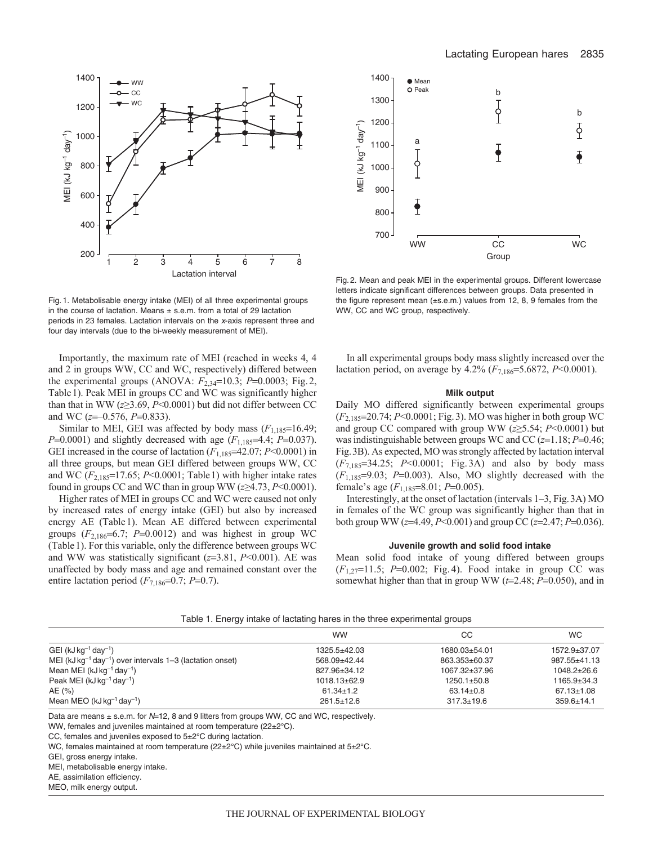

Fig. 1. Metabolisable energy intake (MEI) of all three experimental groups in the course of lactation. Means  $\pm$  s.e.m. from a total of 29 lactation periods in 23 females. Lactation intervals on the x-axis represent three and four day intervals (due to the bi-weekly measurement of MEI).

Importantly, the maximum rate of MEI (reached in weeks 4, 4 and 2 in groups WW, CC and WC, respectively) differed between the experimental groups (ANOVA:  $F_{2,34}$ =10.3; *P*=0.0003; Fig.2, Table1). Peak MEI in groups CC and WC was significantly higher than that in WW ( $z \ge 3.69$ ,  $P \le 0.0001$ ) but did not differ between CC and WC (*z*=-0.576, *P*=0.833).

Similar to MEI, GEI was affected by body mass  $(F_{1,185}=16.49;$ *P*=0.0001) and slightly decreased with age  $(F_{1,185} = 4.4; P = 0.037)$ . GEI increased in the course of lactation  $(F_{1,185} = 42.07; P \le 0.0001)$  in all three groups, but mean GEI differed between groups WW, CC and WC  $(F_{2.185} = 17.65; P \le 0.0001;$  Table 1) with higher intake rates found in groups CC and WC than in group WW (*z*≥4.73, *P*<0.0001).

Higher rates of MEI in groups CC and WC were caused not only by increased rates of energy intake (GEI) but also by increased energy AE (Table1). Mean AE differed between experimental groups  $(F_{2,186}=6.7; P=0.0012)$  and was highest in group WC (Table1). For this variable, only the difference between groups WC and WW was statistically significant  $(z=3.81, P<0.001)$ . AE was unaffected by body mass and age and remained constant over the entire lactation period ( $F_{7,186}$ =0.7; *P*=0.7).



Fig. 2. Mean and peak MEI in the experimental groups. Different lowercase letters indicate significant differences between groups. Data presented in the figure represent mean (±s.e.m.) values from 12, 8, 9 females from the WW, CC and WC group, respectively.

In all experimental groups body mass slightly increased over the lactation period, on average by 4.2% ( $F_{7,186}$ =5.6872, *P*<0.0001).

### **Milk output**

Daily MO differed significantly between experimental groups  $(F_{2,185}=20.74; P<0.0001; Fig.3)$ . MO was higher in both group WC and group CC compared with group WW (*z*≥5.54; *P*<0.0001) but was indistinguishable between groups WC and CC ( $z=1.18$ ;  $P=0.46$ ; Fig.3B). As expected, MO was strongly affected by lactation interval ( $F_{7,185}=34.25$ ;  $P<0.0001$ ; Fig. 3A) and also by body mass  $(F_{1,185}=9.03; P=0.003)$ . Also, MO slightly decreased with the female's age ( $F_{1,185}$ =8.01; *P*=0.005).

Interestingly, at the onset of lactation (intervals 1–3, Fig.3A) MO in females of the WC group was significantly higher than that in both group WW ( $z=4.49$ ,  $P<0.001$ ) and group CC ( $z=2.47$ ;  $P=0.036$ ).

#### **Juvenile growth and solid food intake**

Mean solid food intake of young differed between groups  $(F_{1,27}=11.5; P=0.002; Fig. 4)$ . Food intake in group CC was somewhat higher than that in group WW  $(t=2.48; P=0.050)$ , and in

Table 1. Energy intake of lactating hares in the three experimental groups

|                                                                                     | <b>WW</b>        | CС                | WC.                |
|-------------------------------------------------------------------------------------|------------------|-------------------|--------------------|
| $GEI$ (kJ kg <sup>-1</sup> day <sup>-1</sup> )                                      | 1325.5±42.03     | 1680.03±54.01     | $1572.9 + 37.07$   |
| MEI (kJ kg <sup>-1</sup> day <sup>-1</sup> ) over intervals $1-3$ (lactation onset) | 568.09+42.44     | 863.353±60.37     | $987.55 \pm 41.13$ |
| Mean MEI (kJ kg <sup>-1</sup> day <sup>-1</sup> )                                   | 827.96±34.12     | 1067.32±37.96     | $1048.2 + 26.6$    |
| Peak MEI (kJ kg $^{-1}$ day $^{-1}$ )                                               | 1018.13±62.9     | $1250.1 \pm 50.8$ | $1165.9 \pm 34.3$  |
| AE (%)                                                                              | $61.34 \pm 1.2$  | $63.14 \pm 0.8$   | $67.13 \pm 1.08$   |
| Mean MEO (kJ kg $^{-1}$ day $^{-1}$ )                                               | $261.5 \pm 12.6$ | $317.3 \pm 19.6$  | $359.6 \pm 14.1$   |
|                                                                                     |                  |                   |                    |

Data are means  $\pm$  s.e.m. for  $N=12$ , 8 and 9 litters from groups WW, CC and WC, respectively.

WW, females and juveniles maintained at room temperature (22±2°C).

CC, females and juveniles exposed to 5±2°C during lactation.

WC, females maintained at room temperature ( $22\pm2^{\circ}$ C) while juveniles maintained at  $5\pm2^{\circ}$ C.

GEI, gross energy intake.

MEI, metabolisable energy intake.

AE, assimilation efficiency.

MEO, milk energy output.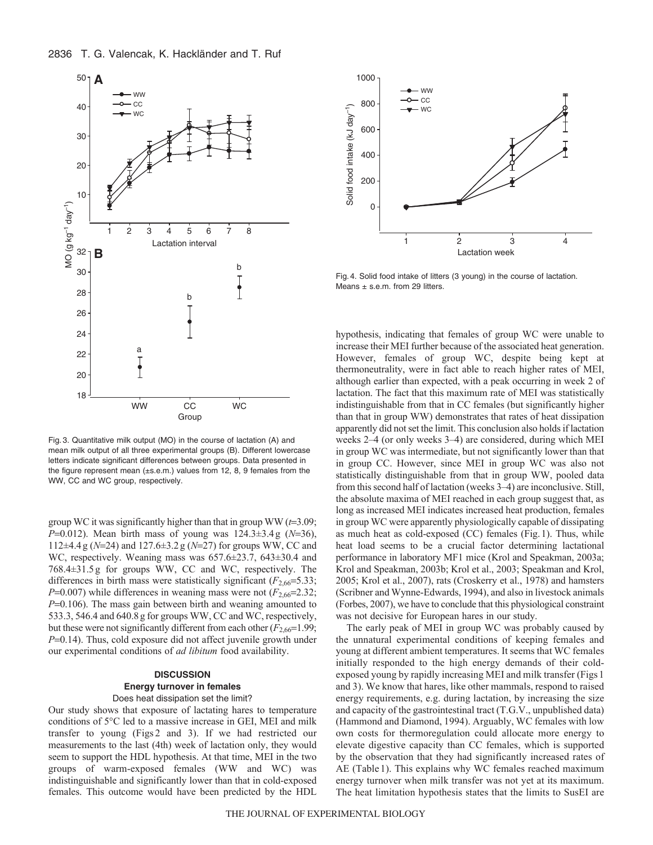



Fig. 3. Quantitative milk output (MO) in the course of lactation (A) and mean milk output of all three experimental groups (B). Different lowercase letters indicate significant differences between groups. Data presented in the figure represent mean (±s.e.m.) values from 12, 8, 9 females from the WW, CC and WC group, respectively.

group WC it was significantly higher than that in group WW  $(t=3.09)$ ; *P*=0.012). Mean birth mass of young was 124.3±3.4g (*N*=36), 112±4.4g (*N*24) and 127.6±3.2g (*N*27) for groups WW, CC and WC, respectively. Weaning mass was 657.6±23.7, 643±30.4 and 768.4±31.5g for groups WW, CC and WC, respectively. The differences in birth mass were statistically significant  $(F_{2,66}=5.33;$  $P=0.007$ ) while differences in weaning mass were not ( $F_{2,66}=2.32$ ;  $P=0.106$ ). The mass gain between birth and weaning amounted to 533.3, 546.4 and 640.8g for groups WW, CC and WC, respectively, but these were not significantly different from each other  $(F_{2,66}=1.99)$ ; *P*=0.14). Thus, cold exposure did not affect juvenile growth under our experimental conditions of *ad libitum* food availability.

# **DISCUSSION Energy turnover in females** Does heat dissipation set the limit?

Our study shows that exposure of lactating hares to temperature conditions of 5°C led to a massive increase in GEI, MEI and milk transfer to young (Figs2 and 3). If we had restricted our measurements to the last (4th) week of lactation only, they would seem to support the HDL hypothesis. At that time, MEI in the two groups of warm-exposed females (WW and WC) was indistinguishable and significantly lower than that in cold-exposed females. This outcome would have been predicted by the HDL



Fig. 4. Solid food intake of litters (3 young) in the course of lactation. Means  $\pm$  s.e.m. from 29 litters.

hypothesis, indicating that females of group WC were unable to increase their MEI further because of the associated heat generation. However, females of group WC, despite being kept at thermoneutrality, were in fact able to reach higher rates of MEI, although earlier than expected, with a peak occurring in week 2 of lactation. The fact that this maximum rate of MEI was statistically indistinguishable from that in CC females (but significantly higher than that in group WW) demonstrates that rates of heat dissipation apparently did not set the limit. This conclusion also holds if lactation weeks 2–4 (or only weeks 3–4) are considered, during which MEI in group WC was intermediate, but not significantly lower than that in group CC. However, since MEI in group WC was also not statistically distinguishable from that in group WW, pooled data from this second half of lactation (weeks 3–4) are inconclusive. Still, the absolute maxima of MEI reached in each group suggest that, as long as increased MEI indicates increased heat production, females in group WC were apparently physiologically capable of dissipating as much heat as cold-exposed (CC) females (Fig.1). Thus, while heat load seems to be a crucial factor determining lactational performance in laboratory MF1 mice (Krol and Speakman, 2003a; Krol and Speakman, 2003b; Krol et al., 2003; Speakman and Krol, 2005; Krol et al., 2007), rats (Croskerry et al., 1978) and hamsters (Scribner and Wynne-Edwards, 1994), and also in livestock animals (Forbes, 2007), we have to conclude that this physiological constraint was not decisive for European hares in our study.

The early peak of MEI in group WC was probably caused by the unnatural experimental conditions of keeping females and young at different ambient temperatures. It seems that WC females initially responded to the high energy demands of their coldexposed young by rapidly increasing MEI and milk transfer (Figs1 and 3). We know that hares, like other mammals, respond to raised energy requirements, e.g. during lactation, by increasing the size and capacity of the gastrointestinal tract (T.G.V., unpublished data) (Hammond and Diamond, 1994). Arguably, WC females with low own costs for thermoregulation could allocate more energy to elevate digestive capacity than CC females, which is supported by the observation that they had significantly increased rates of AE (Table 1). This explains why WC females reached maximum energy turnover when milk transfer was not yet at its maximum. The heat limitation hypothesis states that the limits to SusEI are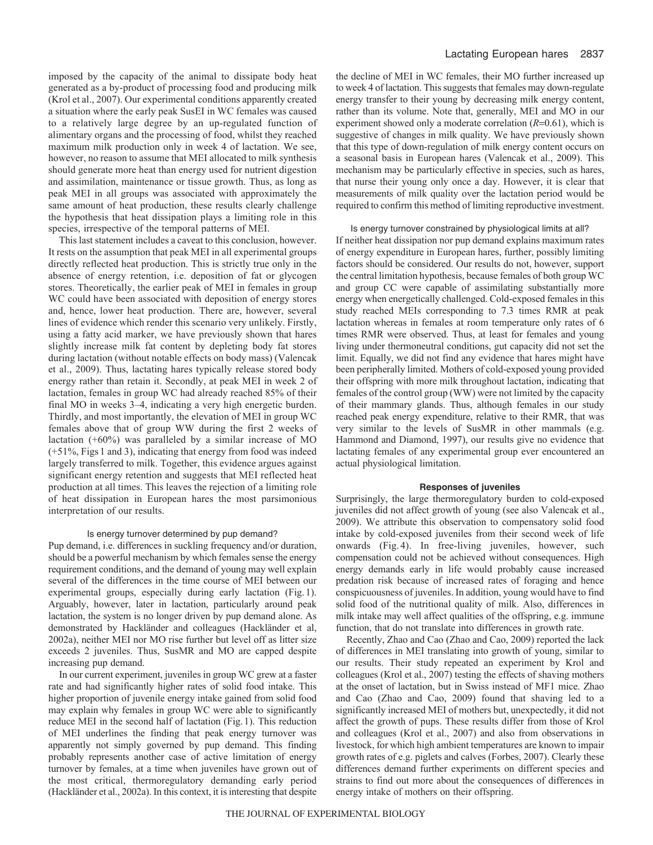imposed by the capacity of the animal to dissipate body heat generated as a by-product of processing food and producing milk (Krol et al., 2007). Our experimental conditions apparently created a situation where the early peak SusEI in WC females was caused to a relatively large degree by an up-regulated function of alimentary organs and the processing of food, whilst they reached maximum milk production only in week 4 of lactation. We see, however, no reason to assume that MEI allocated to milk synthesis should generate more heat than energy used for nutrient digestion and assimilation, maintenance or tissue growth. Thus, as long as peak MEI in all groups was associated with approximately the same amount of heat production, these results clearly challenge the hypothesis that heat dissipation plays a limiting role in this species, irrespective of the temporal patterns of MEI.

This last statement includes a caveat to this conclusion, however. It rests on the assumption that peak MEI in all experimental groups directly reflected heat production. This is strictly true only in the absence of energy retention, i.e. deposition of fat or glycogen stores. Theoretically, the earlier peak of MEI in females in group WC could have been associated with deposition of energy stores and, hence, lower heat production. There are, however, several lines of evidence which render this scenario very unlikely. Firstly, using a fatty acid marker, we have previously shown that hares slightly increase milk fat content by depleting body fat stores during lactation (without notable effects on body mass) (Valencak et al., 2009). Thus, lactating hares typically release stored body energy rather than retain it. Secondly, at peak MEI in week 2 of lactation, females in group WC had already reached 85% of their final MO in weeks 3–4, indicating a very high energetic burden. Thirdly, and most importantly, the elevation of MEI in group WC females above that of group WW during the first 2 weeks of lactation (+60%) was paralleled by a similar increase of MO (+51%, Figs 1 and 3), indicating that energy from food was indeed largely transferred to milk. Together, this evidence argues against significant energy retention and suggests that MEI reflected heat production at all times. This leaves the rejection of a limiting role of heat dissipation in European hares the most parsimonious interpretation of our results.

#### Is energy turnover determined by pup demand?

Pup demand, i.e. differences in suckling frequency and/or duration, should be a powerful mechanism by which females sense the energy requirement conditions, and the demand of young may well explain several of the differences in the time course of MEI between our experimental groups, especially during early lactation (Fig.1). Arguably, however, later in lactation, particularly around peak lactation, the system is no longer driven by pup demand alone. As demonstrated by Hackländer and colleagues (Hackländer et al, 2002a), neither MEI nor MO rise further but level off as litter size exceeds 2 juveniles. Thus, SusMR and MO are capped despite increasing pup demand.

In our current experiment, juveniles in group WC grew at a faster rate and had significantly higher rates of solid food intake. This higher proportion of juvenile energy intake gained from solid food may explain why females in group WC were able to significantly reduce MEI in the second half of lactation (Fig.1). This reduction of MEI underlines the finding that peak energy turnover was apparently not simply governed by pup demand. This finding probably represents another case of active limitation of energy turnover by females, at a time when juveniles have grown out of the most critical, thermoregulatory demanding early period (Hackländer et al., 2002a). In this context, it is interesting that despite

the decline of MEI in WC females, their MO further increased up to week 4 of lactation. This suggests that females may down-regulate energy transfer to their young by decreasing milk energy content, rather than its volume. Note that, generally, MEI and MO in our experiment showed only a moderate correlation  $(R=0.61)$ , which is suggestive of changes in milk quality. We have previously shown that this type of down-regulation of milk energy content occurs on a seasonal basis in European hares (Valencak et al., 2009). This mechanism may be particularly effective in species, such as hares, that nurse their young only once a day. However, it is clear that measurements of milk quality over the lactation period would be required to confirm this method of limiting reproductive investment.

Is energy turnover constrained by physiological limits at all? If neither heat dissipation nor pup demand explains maximum rates of energy expenditure in European hares, further, possibly limiting factors should be considered. Our results do not, however, support the central limitation hypothesis, because females of both group WC and group CC were capable of assimilating substantially more energy when energetically challenged. Cold-exposed females in this study reached MEIs corresponding to 7.3 times RMR at peak lactation whereas in females at room temperature only rates of 6 times RMR were observed. Thus, at least for females and young living under thermoneutral conditions, gut capacity did not set the limit. Equally, we did not find any evidence that hares might have been peripherally limited. Mothers of cold-exposed young provided their offspring with more milk throughout lactation, indicating that females of the control group (WW) were not limited by the capacity of their mammary glands. Thus, although females in our study reached peak energy expenditure, relative to their RMR, that was very similar to the levels of SusMR in other mammals (e.g. Hammond and Diamond, 1997), our results give no evidence that lactating females of any experimental group ever encountered an actual physiological limitation.

## **Responses of juveniles**

Surprisingly, the large thermoregulatory burden to cold-exposed juveniles did not affect growth of young (see also Valencak et al., 2009). We attribute this observation to compensatory solid food intake by cold-exposed juveniles from their second week of life onwards (Fig. 4). In free-living juveniles, however, such compensation could not be achieved without consequences. High energy demands early in life would probably cause increased predation risk because of increased rates of foraging and hence conspicuousness of juveniles. In addition, young would have to find solid food of the nutritional quality of milk. Also, differences in milk intake may well affect qualities of the offspring, e.g. immune function, that do not translate into differences in growth rate.

Recently, Zhao and Cao (Zhao and Cao, 2009) reported the lack of differences in MEI translating into growth of young, similar to our results. Their study repeated an experiment by Krol and colleagues (Krol et al., 2007) testing the effects of shaving mothers at the onset of lactation, but in Swiss instead of MF1 mice. Zhao and Cao (Zhao and Cao, 2009) found that shaving led to a significantly increased MEI of mothers but, unexpectedly, it did not affect the growth of pups. These results differ from those of Krol and colleagues (Krol et al., 2007) and also from observations in livestock, for which high ambient temperatures are known to impair growth rates of e.g. piglets and calves (Forbes, 2007). Clearly these differences demand further experiments on different species and strains to find out more about the consequences of differences in energy intake of mothers on their offspring.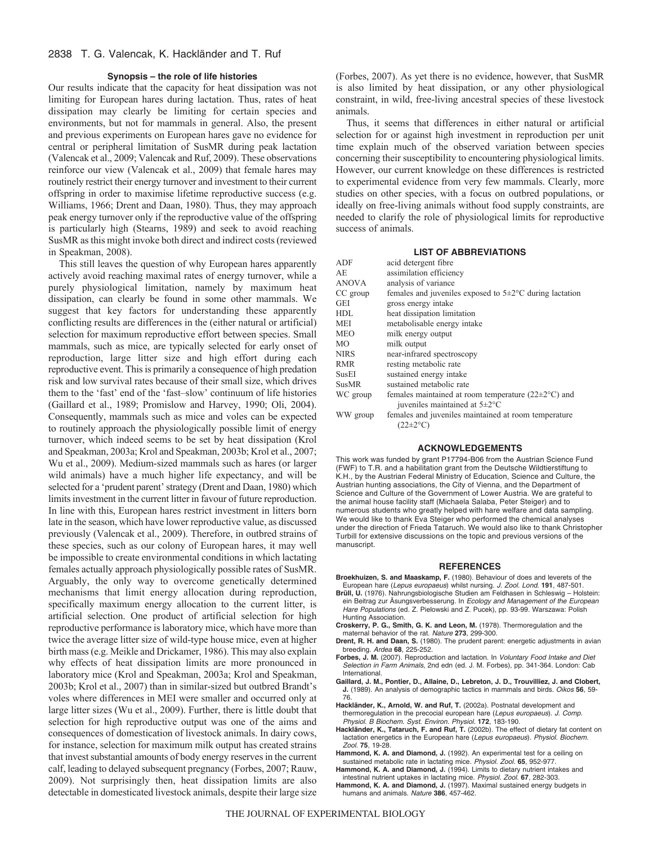## **Synopsis – the role of life histories**

Our results indicate that the capacity for heat dissipation was not limiting for European hares during lactation. Thus, rates of heat dissipation may clearly be limiting for certain species and environments, but not for mammals in general. Also, the present and previous experiments on European hares gave no evidence for central or peripheral limitation of SusMR during peak lactation (Valencak et al., 2009; Valencak and Ruf, 2009). These observations reinforce our view (Valencak et al., 2009) that female hares may routinely restrict their energy turnover and investment to their current offspring in order to maximise lifetime reproductive success (e.g. Williams, 1966; Drent and Daan, 1980). Thus, they may approach peak energy turnover only if the reproductive value of the offspring is particularly high (Stearns, 1989) and seek to avoid reaching SusMR as this might invoke both direct and indirect costs (reviewed in Speakman, 2008).

This still leaves the question of why European hares apparently actively avoid reaching maximal rates of energy turnover, while a purely physiological limitation, namely by maximum heat dissipation, can clearly be found in some other mammals. We suggest that key factors for understanding these apparently conflicting results are differences in the (either natural or artificial) selection for maximum reproductive effort between species. Small mammals, such as mice, are typically selected for early onset of reproduction, large litter size and high effort during each reproductive event. This is primarily a consequence of high predation risk and low survival rates because of their small size, which drives them to the 'fast' end of the 'fast–slow' continuum of life histories (Gaillard et al., 1989; Promislow and Harvey, 1990; Oli, 2004). Consequently, mammals such as mice and voles can be expected to routinely approach the physiologically possible limit of energy turnover, which indeed seems to be set by heat dissipation (Krol and Speakman, 2003a; Krol and Speakman, 2003b; Krol et al., 2007; Wu et al., 2009). Medium-sized mammals such as hares (or larger wild animals) have a much higher life expectancy, and will be selected for a 'prudent parent' strategy (Drent and Daan, 1980) which limits investment in the current litter in favour of future reproduction. In line with this, European hares restrict investment in litters born late in the season, which have lower reproductive value, as discussed previously (Valencak et al., 2009). Therefore, in outbred strains of these species, such as our colony of European hares, it may well be impossible to create environmental conditions in which lactating females actually approach physiologically possible rates of SusMR. Arguably, the only way to overcome genetically determined mechanisms that limit energy allocation during reproduction, specifically maximum energy allocation to the current litter, is artificial selection. One product of artificial selection for high reproductive performance is laboratory mice, which have more than twice the average litter size of wild-type house mice, even at higher birth mass (e.g. Meikle and Drickamer, 1986). This may also explain why effects of heat dissipation limits are more pronounced in laboratory mice (Krol and Speakman, 2003a; Krol and Speakman, 2003b; Krol et al., 2007) than in similar-sized but outbred Brandt's voles where differences in MEI were smaller and occurred only at large litter sizes (Wu et al., 2009). Further, there is little doubt that selection for high reproductive output was one of the aims and consequences of domestication of livestock animals. In dairy cows, for instance, selection for maximum milk output has created strains that invest substantial amounts of body energy reserves in the current calf, leading to delayed subsequent pregnancy (Forbes, 2007; Rauw, 2009). Not surprisingly then, heat dissipation limits are also detectable in domesticated livestock animals, despite their large size

(Forbes, 2007). As yet there is no evidence, however, that SusMR is also limited by heat dissipation, or any other physiological constraint, in wild, free-living ancestral species of these livestock animals.

Thus, it seems that differences in either natural or artificial selection for or against high investment in reproduction per unit time explain much of the observed variation between species concerning their susceptibility to encountering physiological limits. However, our current knowledge on these differences is restricted to experimental evidence from very few mammals. Clearly, more studies on other species, with a focus on outbred populations, or ideally on free-living animals without food supply constraints, are needed to clarify the role of physiological limits for reproductive success of animals.

## **LIST OF ABBREVIATIONS**

| <b>ADF</b>     | acid detergent fibre                                             |
|----------------|------------------------------------------------------------------|
| AE.            | assimilation efficiency                                          |
| <b>ANOVA</b>   | analysis of variance                                             |
| CC group       | females and juveniles exposed to $5\pm2$ °C during lactation     |
| <b>GEI</b>     | gross energy intake                                              |
| HDL            | heat dissipation limitation                                      |
| <b>MEI</b>     | metabolisable energy intake                                      |
| <b>MEO</b>     | milk energy output                                               |
| M <sub>O</sub> | milk output                                                      |
| <b>NIRS</b>    | near-infrared spectroscopy                                       |
| <b>RMR</b>     | resting metabolic rate                                           |
| <b>SusEI</b>   | sustained energy intake                                          |
| <b>SusMR</b>   | sustained metabolic rate                                         |
| WC group       | females maintained at room temperature $(22 \pm 2^{\circ}C)$ and |
|                | iuveniles maintained at $5\pm2\degree C$                         |
| WW group       | females and juveniles maintained at room temperature             |
|                | $(22 \pm 2$ °C)                                                  |

#### **ACKNOWLEDGEMENTS**

This work was funded by grant P17794-B06 from the Austrian Science Fund (FWF) to T.R. and a habilitation grant from the Deutsche Wildtierstiftung to K.H., by the Austrian Federal Ministry of Education, Science and Culture, the Austrian hunting associations, the City of Vienna, and the Department of Science and Culture of the Government of Lower Austria. We are grateful to the animal house facility staff (Michaela Salaba, Peter Steiger) and to numerous students who greatly helped with hare welfare and data sampling. We would like to thank Eva Steiger who performed the chemical analyses under the direction of Frieda Tataruch. We would also like to thank Christopher Turbill for extensive discussions on the topic and previous versions of the manuscript.

#### **REFERENCES**

- **Broekhuizen, S. and Maaskamp, F.** (1980). Behaviour of does and leverets of the European hare (Lepus europaeus) whilst nursing. J. Zool. Lond. **191**, 487-501.
- **Brüll, U.** (1976). Nahrungsbiologische Studien am Feldhasen in Schleswig Holstein: ein Beitrag zur Äsungsverbesserung. In Ecology and Management of the European Hare Populations (ed. Z. Pielowski and Z. Pucek), pp. 93-99. Warszawa: Polish Hunting Association.
- **Croskerry, P. G., Smith, G. K. and Leon, M.** (1978). Thermoregulation and the maternal behavior of the rat. Nature **273**, 299-300.
- **Drent, R. H. and Daan, S.** (1980). The prudent parent: energetic adjustments in avian breeding. Ardea **68**, 225-252.
- **Forbes, J. M.** (2007). Reproduction and lactation. In Voluntary Food Intake and Diet Selection in Farm Animals, 2nd edn (ed. J. M. Forbes), pp. 341-364. London: Cab International.
- **Gaillard, J. M., Pontier, D., Allaine, D., Lebreton, J. D., Trouvilliez, J. and Clobert, J.** (1989). An analysis of demographic tactics in mammals and birds. Oikos **56**, 59- 76.
- **Hackländer, K., Arnold, W. and Ruf, T.** (2002a). Postnatal development and thermoregulation in the precocial european hare (Lepus europaeus). J. Comp. Physiol. B Biochem. Syst. Environ. Physiol. **172**, 183-190.
- **Hackländer, K., Tataruch, F. and Ruf, T.** (2002b). The effect of dietary fat content on lactation energetics in the European hare (Lepus europaeus). Physiol. Biochem. Zool. **75**, 19-28.
- **Hammond, K. A. and Diamond, J.** (1992). An experimental test for a ceiling on sustained metabolic rate in lactating mice. Physiol. Zool. **65**, 952-977. **Hammond, K. A. and Diamond, J.** (1994). Limits to dietary nutrient intakes and
- intestinal nutrient uptakes in lactating mice. Physiol. Zool. **67**, 282-303.
- Hammond, K. A. and Diamond, J. (1997). Maximal sustained energy budgets in humans and animals. Nature **386**, 457-462.